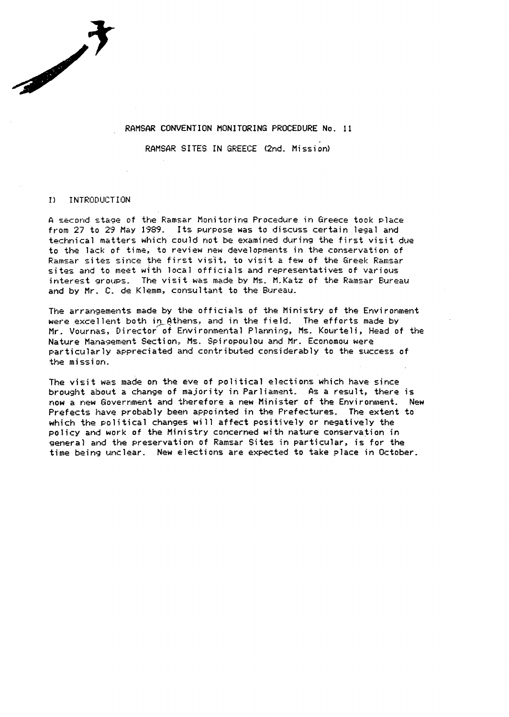#### **RAMSAR CONVENTION MONITORING PROCEDURE No. 11**

**RAMSAR SITES IN GREECE (2nd. Mission)** 

#### INTRODUCTION  $\bf{D}$

**CONTRACTOR** 

**A second stage of the Ramsar Monitoring Procedure in Greece took place from 27 to 29 May 1939. Its put-pose was to discuss certain .legal and technical matters which could not be examined during the first visit due to the lack of time, to review new developments in the conservation of Rarrtzar sites since the fiirst vis'it, to visit a few of the Greek Rarnsar**  sites and to meet with local officials and representatives of various **interest groups. The visit was made by MS, M-Katz of the Ramsar Bureau and by Mr. C. de Klemm, consultant to the Bureau.** 

The **arrangements made &y the officials of the Ministry of the Environment**  were excellent both in Athens, and in the field. The efforts made by **Mr. Vournas, Director% Environmental Planning, Ms. Kourteli, Head of** the **Nature Mainagement Section:, Ms. Spiropoulou and Mr. Economou were particularly appreciated and contributed considerably to the success of the mission.** 

**The visit was made on the eve of political elections which have since brought about a change of majority in Parliament. As a result, there is r-low a new Goverrtment and therefore a new Minister of the Environment. New Prefects have probably been appointed** *in* **the Prefectures. The extent to which the political changes will affect positively or negatively the policy and work of the Ministry concerned with nature conservation in general and the preservation of Ramsar Sites in particular, is for the time being unclear. New elections are expected to take place in October.**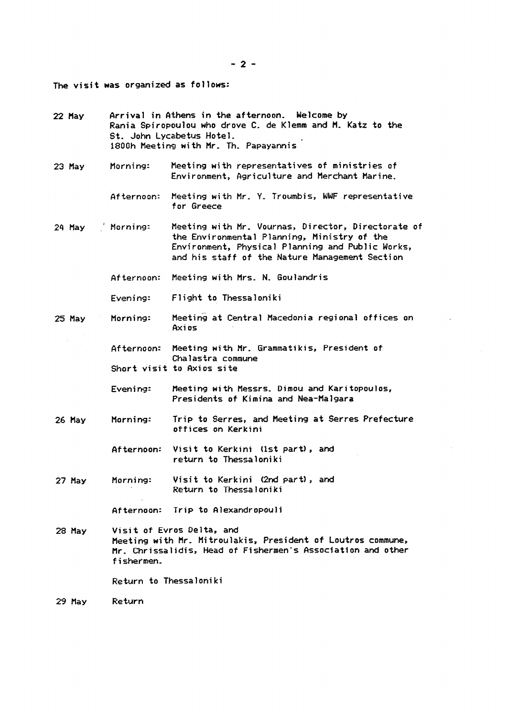*-2-* 

**The visit was organized as follows:** 

**22 flay Arrival in Athens in the afternoon. Welcome by Rania Spiropoulou who drove C, de Klemm and M. Katz to the St, John Lycabetus Hotel.**  1800h Meeting with Mr. Th. Papayannis *23* **flay Morning: Meeting with representatives of ministries of Environment, Agriculture and Merchant Marine. Af tar-noon: Meeting with Mr. Y- Troumbis, WWF representative for Greece**  24 May (Morning: Meeting with Mr. Vournas, Director, Directorate of **the Environmental Planning, Ministry of the Environment, Physical Planning and Public Works, and his staff of the Nature Management Section Afternoon: Meeting with Mrs- N. Goulandris Evening: Flight to Thessaloniki**  *25* **May Morning: Afternoon: Meeting with Mr. Grammatikis, President of Chalastra commune Short visit to Axios site**  Evening: Meeting with Messrs. Dimou and Karitopoulos, **Presidents of Kimina and Nea-Malgara**  *26* **May Morning: Trip to Serres, and Meeting at** *Serres* **Prefecture offices on Kerkini Afternoon: Visit to Kerkini (1st part), and return to Thessa 1 oni ki**  *27* **May Morning: Visit to Kerkini (2nd part), and Return to Thessaloniki Afternoon: Trip to Alexandropouli**  *28* **May Visit of Evros Delta, and Meeting with I%-, Mitroulakis, President of Loutros commune,**  Mr. Chrissalidis, Head of Fishermen's Association and other **fishermen-Return to Thessaloni ki**  *29* **May Return**  . **Meeting at Central Macedonia regional offices on Axi OS**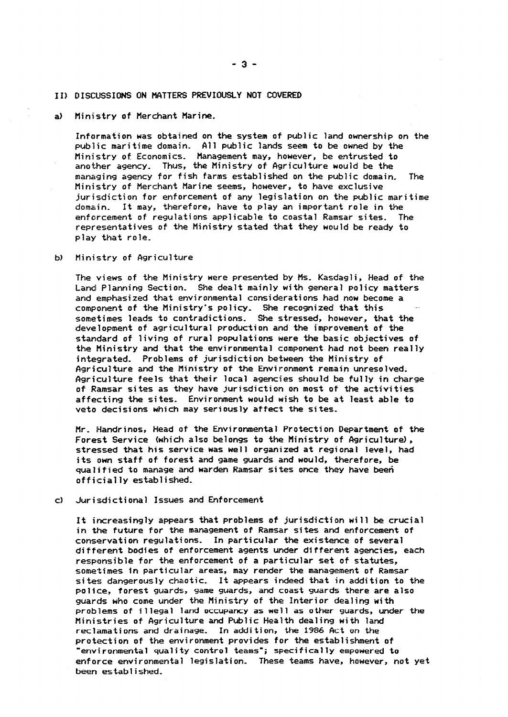#### **1 I) DISCUSSIONS ON MATTERS PREVIOUSLY NO? COVERED**

a) Ministry of Merchant Marine.

**Informafion was obtained on the system of public land ownership on the publlic mari time domain. All public lands seem to be owned by the Ministry of Economics. Management may, however, be entrusted to another agency, Thus, the Ministry of Agriculture would be the managing agency for fish farms established on the public domain. The Ministry of Merchant Marine seems, however, to have exclusive jurisdiction for enforcement of any legislation** *on* **the public maritime domain, It may, therefore, have to play an important role in the enforcement of regulations applicable to coastal Ramsar sites. The representatives of the Ministry stated that they would be ready to play that role.** 

**bl Ministry of Agriculture** 

**The views of the Ministry were presented by MS, Kasdagli, Head of the**  Land Planning Section. She dealt mainly with general policy matters **and emphasized that environmental considerations had** *now* **become a**  component of the Ministry's policy. She recognized that this **sometimes leads to contradictions, She stressed, however, that the development of agricultural production and the improvement of the standard of living of rural populations were the basic objectives of the Ministry and that the environmental component had not been really integrated- Problems of jurisdiction between the Ministry of Agriculture and the Ministry of the Environment remain unresolved; Agriculture feels that their local agencies should be fully in charge of Ramsar sites as they have jurisdiction on most of the activities affecting the sites. Environment would wish to be at least able to veto decisions which may seriously affect the sites,** 

**Mr. Handrinos, Head of the Environmental Protection Department of the**  Forest Service (which also belongs to the Ministry of Agriculture), **stressed that his service was well organized at regional level, had its own staff of forest and game guards and would, therefore, be qualified to manage and warden Ramsar sites once they have been off icia? ly established.** 

**cl Jurisdictional Issues and Enforcement** 

**It increasingly appears that problems of jurisdiction will be crucial in the future** *for* **the management of Ramsar sites and enforcement of conservation regulati 0115. In particular the existence of several different bodies of enforcement agents under different agencies, each responsible for the enforcement of a particular set of statutes,**  sometimes in particular areas, may render the management of Ramsar **sites dangerously chaotic. It appears indeed that in addition to the po 1 ice, forest guards, game guards, and coast guards there are also guards who come under the Ministry of the Interior dealing with probllems of illegal land occupancy as well as other guards, under the Ministries** *of* **Agriculture and Public Health dealing with land reclamations and drainage. In addition, the 1986 Act** *on* **the protection of the environment provides for the establishment of "environmental quality control teams"; specif ica? ly empowered to enforce environmental legislation, These teams have, however, not yet been es tab 1 i shed,**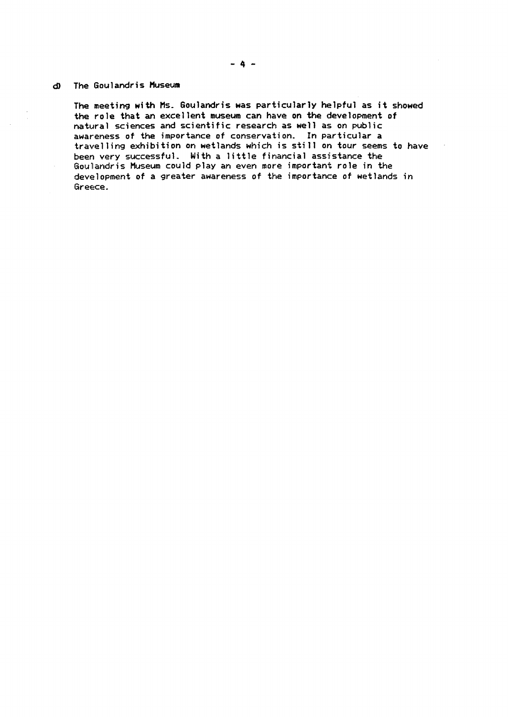## **8 The Goulandris Museum**

**The meeting with Hs- Goulandris was particularly helpful as it showed the role that an excellent museum can have on the development of natural sciences and scientific research as well as on public awareness of the importance of conservation. In particular a**  travelling exhibition on wetlands which is still on tour seems to have been very successful. With a little financial assistance the **Goullandris Museum could play an even more important role in the development of a greater awareness of the importance of wetlands in Greece.**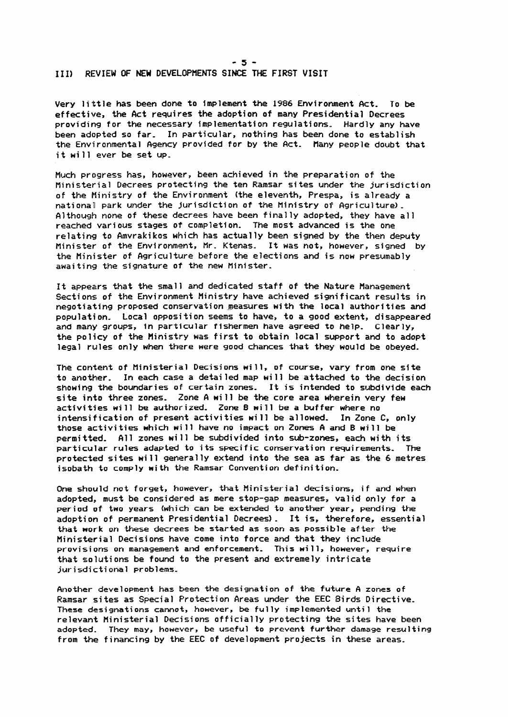# **III) REVIEW OF NEW DEVELOPHENTS SINCE THE FIRST VISIT**

**Very little has been done to implement the 1986 Environment Act. To be effective, the Act requires the adoption of many Presidential Decrees providing for the necessary implementation regulations, Hardly any have been adopted so far, In particular, nothing has been done to establish the Environmental Agency provided for by the Act, Many people doubt that**  it will ever be set up.

**-5-** 

**Much progress has, however, been achieved in the preparation of the Ministerial Decrees protecting the ten Ramsar sites under the jurisdiction of the Ministry of the Environment (the eleventh, Prespa, is already a national park under the jurisdiction of the Ministry of Agriculture), Although none of these decrees have been finally adopted, they have all reached various stages of completion, The most advanced is the one relating to Amvrakikos which has actually been signed by the then deputy Minister of the Environment, Mr. Ktenas- It was not, however, signed by the Minister of Agriculture before the elections and is now presumably awaiting the signature of the** *new* **Minister,** 

**It appears that the small and dedicated staff of the Nature Management Sections of the Environment Ministry have achieved significant results in negotiating proposed conservation,measures with the local authorities and population, Local opposition seems to have, to a good extent, disappeared and many** *groups, in* **particular fishermen have agreed to help, Clearly, the policy of the tlinistry was first to obtain local** *support* **and to adopt legal rules only when there were good chances that they would be obeyed,** 

**The content of Ministerial Decisions will, of course, vary from one site**  to another. In each case a detailed map will be attached to the decision **showing the boundaries of certain zones, It is intended to subdivide each si te into three zones, Zone A will be the core area wherein very few activities wi 11 be authorized, Zone B will be a buffer where no intensification of present activities will be allowed. In Zone C, only**  those activities which will have no impact on Zones A and B will be **permitted, All zones wi 11 be subdivided into sub-zones, each with its particular rules adapted to its specific conservation requirements, The protected sites will generally extend into the sea as far as the 6 metres isobath to comply with the Ramsar Convention definition.** 

**One should not forget, however, that Ministerial decisions, if and when adopted, must be considered** *as* **mere stop-gap measures, valid only for a**  period of two years (which can be extended to another year, pending the **adoption of permanent Presidential Decrees) \_ It is, therefore, essential that work on these decrees be started as soon as possible after the Ministerial Decisions have come into force and that they include provisio'ns on management and enforcement, This will, however, require that sol,utions be found to the present and extremely intricate jurisdictional problems,** 

**Another development has been the designation of the future A zones of Ramsar sites as Special Protection Areas under the EEC Birds Directive-These designations cannot, however, be fully implemented until the relevant Ministerial Decisions officially protecting the sites have been adopted. They may, however, be useful to prevent further damage resulting from the financing by the EEC of development projects in these areas,**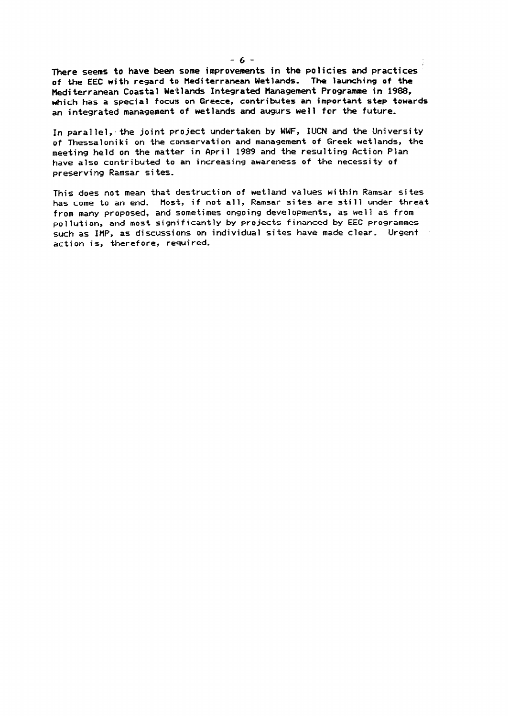**There seems to have been some improvements in the policies and practices of the EEC with regard to Mediterranean Wetlands. The launching of the Mediterranean Coastal Wetlands Integrated Management Programme in 1988, which has a special focus on Greece, contributes** an **important step towards an integrated management of wetlands and augurs well for the future,** 

In parallel, the joint project undertaken by WWF, IUCN and the University **of Thessaloniki on the conservation and management of Greek wetlands, the meeting iheld on the matter in April 1989 and the resulting Action Plan have also contributed to an increasing awareness of the necessity of**  preserving Ramsar sites.

**This does not mean that destruction of wetland values within Ramsar sites has come to an end. Most, if not all, Ramsar sites are sti 11 under threat from many proposed, and sometimes ongoing developments, as well as from po 1 lut i** on, **and most significantly by projects financed by EEC programmes such as IMP, as discussions on individual sites have made clear. Urgent acti on is, therefore, required.**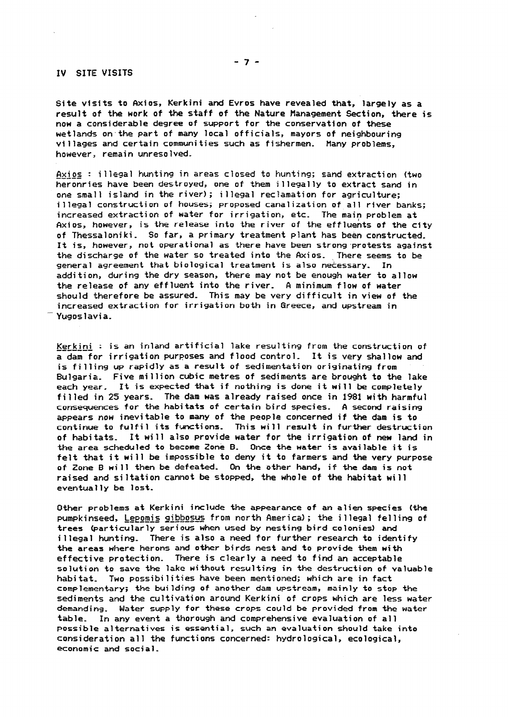#### IV **SITE** VISITS

**Site visits to Axios, Kerkini and Evros have revealed that, largely as a**  result of the work of the staff of the Nature Management Section, there is **now a considerable** degree of **support for the conservation of these wetlands on.the part of many local officials, mayors of neighbouring vi 1 lages and certain communities such as fishermen. Many problems, however :, remain unresolved-**

Axios : illegal hunting in areas closed to hunting; sand extraction (two heronries have been destroyed, one of them illegally to extract sand in **one sma'll island in the river); illegal reclamation for agriculture; illegal construction of houses; proposed canalization of all river banks;**  increased extraction of water for irrigation, etc. The main problem at **Axi 05, however, is the release into the river of the effluents of the city**  of Thessaloniki. So far, a primary treatment plant has been constructed. It **is,** however, **not operational as there have been strong,protests against the discharge of the water so treated into the Axios. There** seems to be **general agreement that biological treatment is also nekessary.** In **addi ti on, during the dry season, there may not be enough water to allow the release of any effluent into the river, A minimum flow of water should therefore be assured. This may be very difficult in view of the increased extraction for irrigation both in Greece, and upstream in ... Yugoslavia,** 

Kerkini : is an inland artificial lake resulting from the construction of **a dam for irrigation purposes and flood control, It is very shallow and is filling up rapidly as a result of sedimentation originating from Bulgarial, Five million cubic metres of sediments are brought to the lake each** *yeair.* **It is expected that if nothing is done it wi 11 be completely f i 1 led in 25 years, The dam was already raised once in** 1981 **with harmful consequences for the habitats of certain bird species. A second raising appears now inevitable to many of the people concerned if the dam is to continue! to fulfil its functions, This wi 11 result in further destruction of habitats,** It **will also provide water for the irrigation of new land in**  the area scheduled to become Zone B. Once the water is available it is **felt that it will be impossible to deny it to farmers and the very purpose of Zone B wi 11 then be defeated- On the other hand, if the dam is not raised and siltation cannot be stopped, the whole of the habitat will eventually be lost,** 

**Other problems at Kerkini include the appearance of an alien species (the**  pumpkinseed, Lepomis gibbosus from north America); the illegal felling of **trees (particularly serious when used by nesting bird colonies) and i 1 legal hunting, There is also a need for further research to identify the areas where herons and other birds nest and to provide them with effective protec'tion, There is clearly a need to find an acceptable solution to save the lake without resulting in the destruction of valuable habitat, Two possibilities have been mentioned; which are in fact complementary; the building of another dam upstream, mainly to stop the sediments and the cultivation around Kerkini of crops which are less water**  demanding. Water supply for these crops could be provided from the water **table-** In **any event a thorough and comprehensive evaluation of all Possible alternatives is essential, such an evaluation should take into**  consideration all the functions concerned: hydrological, ecological, **economic and social-**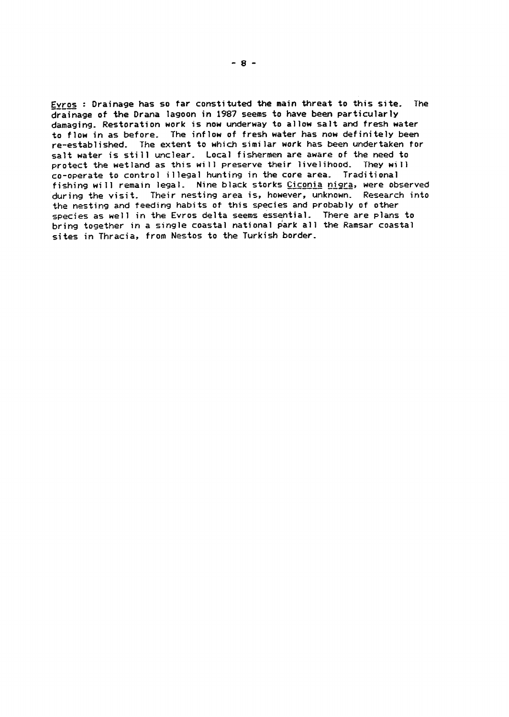**fE\_vyos : Drainage has so far constituted the main threat to this site. The drainage of the Drana lagoon in 1987 seems to have been particularly damaging. Restoration work is now underway to allow salt and fresh water to flow in as before, The inflow of fresh water has now definitely been re-established- The extent to which similar work has** *been* **undertaken for salt water is still unclear. Local fishermen are aware of the need to protect the wetland as this will preserve their livelihood. They wi 11 co-operate to control illegal hunting in the core area, Traditional fishing wi 11 remain legal- Nine black storks Ciconia nisra,** *were* **observed during the visit. Their nesting area is, however, unknown. Research into the nesting and feeding habits of this species and probably of other**  species as well in the Evros delta seems essential. There are plans to **bring together in a single coastal national park all the Ramsar coastal sites in Thracia, from Nestos to the Turkish border.**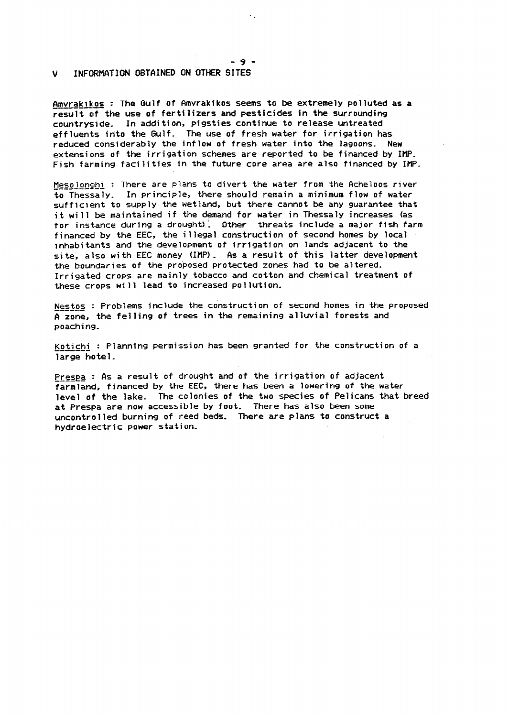## **V INFORMATION OBTAINED ON OTHER SITES**

Amvrakikos : The Gulf of Amvrakikos seems to be extremely polluted as a **result of the use of fertilizers and pesticides in the surrounding countryside,** In **addition, pigsties continue to release untreated effluents into the Gulf. The use of fresh water for irrigation has reduced considerably the inflow of fresh water into the lagoons. New extensians of the irrigation schemes are reported to be financed by** IMP-**Fish farming facilities in the future core area are also financed by** IMP,

 $Mean of Message : There are plans to divert the water from the Acheloos river$ </u> to Thessaly. In principle, there should remain a minimum flow of water **sufficient to** swply **the wetland, but there cannot be any guarantee that it wi 11 be maintained if the demand for water in Thessaly increases (as for instance during a drought): Other threats include a major fish farm financed by the EEC, the illegal construction of second homes by local inhabitants and the development of irrigation on lands adjacent to the si te, also wi** th **EEC money** (IMP) \_ **As a result of this latter development the boundaries of the proposed protected zones had to be altered. Irrigated crops are mainly tobacco and cotton and chemical treatment of these** *crops* **will lead to increased pollution-**

Nestos : Problems include the construction of second homes in the proposed **A zone, the felling of trees in the remaining alluvial forests and poaching.** 

**Kotichi : Planning permission has been granted for the construction of a**  large hotel.

**Prespa : As a result of drought and of the irrigation of adjacent farmland, financed by the EEC, there has been a lowering of the water level of the lake- The colonies of the two species of Pelicans that breed at Prespa are now accessible by foot, There has also been some uncontrolled burning of reed beds. There are plans to construct a**  hydroelectric power station.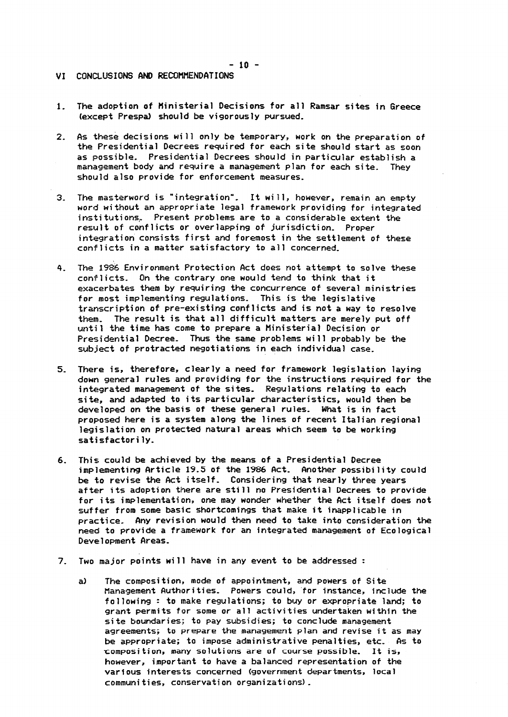- **VI CONCLUSIONS AND RECOMMENDATIONS**
- **1. The adoption** of **Ministerial Decisions for all Ramsar sites in Greece (except Prespal should be vigorously pursued.**
- **2.**  As these decisions will only be temporary, work on the preparation of **the Presidential Decrees required for each site should start as soon as possible. Presidential Decrees should in particular establish a management body and require a management plan for each site. They should also provide for enforcement measures.**
- **3-**  The masterword is "integration". It will, however, remain an empty *word* **without an appropriate legal framework providing for integrated insti tuti on+ Present problems are to a considerable extent the result of conflicts or overlapping of jurisdiction\_ Proper integration consists first and foremost in the settlement of these**  conflicts in a matter satisfactory to all concerned.
- **4. The 1986 Environment Protection Act does not attempt to solve these**  conflicts. On the contrary one would tend to think that it **exacerbates them by requiring the concurrence of several ministries for most implementing regulations, This is the legislative transcription of pre-existing conflicts and is not a way to resolve them The result is that all difficult matters are merely put off untii 1 the time has come to prepare a Ministerial Decision** *or*  **Presidential Decree, Thus the same problems will probably be the subject of protracted negotiations in each individual case.**
- **5, There is, therefore, clearly a need for framework legislation laying down general rules and providing for the instructions required for the integrated management of the sites, Regulations relating to each**  si**te,** and adapted to its particular characteristics, would then be **developed on the basis of these general rules, What is in fact proposed here is a system along the lines of** *recent* **Italian regional legislation on protected natural areas which seem to be working satisfactorily,**
- **6. This could be achieved by the means of a Presidential Decree implementing Article 19.5 of the 1986 Act, Another possibi 1 i ty could be to revise the Act itself, Considering that nearly three years after its adoption there are still no Presidential Decrees to provide for i ts implementati on, one may wonder whether the Act itself does** not **suffer from some basic shortcomings that make it inapplicable in prac:tice, Any revision would then need to take into consideration the need to provide a framework for an integrated management of Ecological Development Areas,**
- **7. Two major points will have in any event to be addressed :** 
	- **a) The composition, mode of appointment, and powers of Site Management Author i ties,** *Powers* **could, .for instance, include the following : to make regulations; to buy or expropriate land; to grant permits for some or all activities undertaken within the site boundaries; to pay subsidies; to conclude management agreements; to prepare the management plan and revise it as may be appropriate; to impose administrative penalties, etc, As to romposi tion, many solutions are of course possible. It is, however, important to have a balanced representation of the various interests concerned (government departments, local communi ties, conservation organizati** *on-51 \_*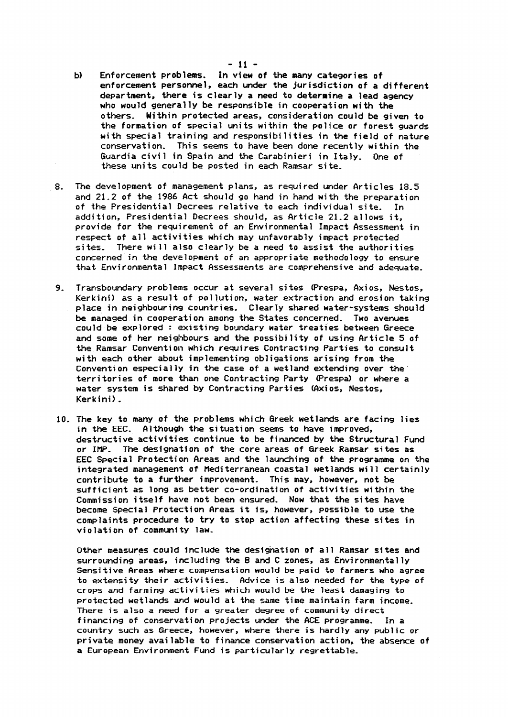- **b) Enforcement problems.** *In* **view of the many** categories **of enforcement personnel, each under the jurisdiction of** a **different department, there is clearly** a **need to determine** a **lead agency who would generally be responsible in cooperation with the 0 thers. Within protected areas, consideration could be given to the formation of special units within the police** *or* **forest guards with special training and responsibi lities in the field of nature**  conservation. This seems to have been done recently within the **Guardia civil in Spain and the Carabinieri in Italy. One of these units could be posted in each Ramsar site.**
- **8. The development of management plans, as required under Articles 18-5 and 21.2 of the 1986 Act should go hand in hand with the preparation of the Presidential Decrees relative to each individual site- In addition, Presidential Decrees should, as Article 21.2 al lows it, provide for the requirement of an Environmental Impact Assessment in respect of all activities which may unfavorably impact protected**  sites. There will also clearly be a need to assist the authorities **concerned** *in* **the development of an appropriate methodology to ensure that Environmental Impact Assessments are comprehensive and adequate.**
- **9, Transboundary problems occur at several sites (Prespa, Axios, Nestos, Kerkini) as a result of pollution, water extraction and erosion taking place in neighbouring countries. Clearly shared water-systems should be m!anaged in cooperation among the States concerned. Two avenues could be explored : existing boundary water treaties between** *Greece*  **and some of her neighbours and the possibility of using Article 5 of the.Ramsar Convention which requires Contracting Parties to consult with each other about implementing obligations arising from the Convention especially in the case of** a **wetland extending** *over* **the' territories of more than** *one* **Contracting Party (Prespal or where a water system is shared by Contracting Parties (Axios, Nestos, Kerkini) \_**
- **10. The key to many of the problems which Greek wetlands are facing lies**  in **the EEL Although the situation seems to have improved, destructive activities continue to be financed by the Structural Fund or I.NP, The designation of the core areas of Greek Ramsar sites as**  EEC Special Protection Areas and the launching of the programme on the **integrated management of Mediterranean coastal wetlands will certainly contribute to** a **further improvement, This may, however, not be sufficient** *as* **long as better co-ordination of activities within the Commi ssi on i tsel f have not been ensured. Now that the si tes have become Special Protection Areas it is, however, possible to use the compiaints procedure to try to stop action affecting these sites in**  violation of community law.

Other measures could include the designation of all Ramsar sites and **surrounding areas, including the B and C zones, as Environmentally Sensitive Areas where compensation wowld be paid to farmers who agree to** extensity their activities. Advice is also needed for the type of **crops and farming activities which wowld be the least damaging to protected wetlands and would at the same time maintain farm income!, There is also** *a* **need for a greater degree of community direct financing of conservation projects under the ACE programme. In a country such as Greece, however, where there is hardly any public or private money available to finance conservation action, the absence of**  a **European Environmernt Fund is particularly regrettable,**